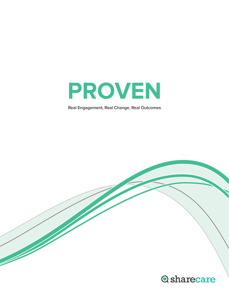

**Real Engagement, Real Change, Real Outcomes**

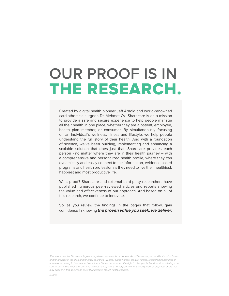# **OUR PROOF IS IN** THE RESEARCH.

Created by digital health pioneer Jeff Arnold and world-renowned cardiothoracic surgeon Dr. Mehmet Oz, Sharecare is on a mission to provide a safe and secure experience to help people manage all their health in one place, whether they are a patient, employee, health plan member, or consumer. By simultaneously focusing on an individual's wellness, illness and lifestyle, we help people understand the full story of their health. And with a foundation of science, we've been building, implementing and enhancing a scalable solution that does just that. Sharecare provides each person - no matter where they are in their health journey – with a comprehensive and personalized health profile, where they can dynamically and easily connect to the information, evidence based programs and health professionals they need to live their healthiest, happiest and most productive life.

Want proof? Sharecare and external third-party researchers have published numerous peer-reviewed articles and reports showing the value and effectiveness of our approach. And based on all of this research, we continue to innovate.

So, as you review the findings in the pages that follow, gain confidence in knowing **the proven value you seek, we deliver.**

Sharecare and the Sharecare logo are registered trademarks or trademarks of Sharecare, Inc., and/or its subsidiaries and/or affiliates in the USA and/or other countries. All other brand names, product names, registered trademarks or trademarks belong to their respective holders. Sharecare reserves the right to alter product and services offerings, and specifications and pricing at any time without notice, and is not responsible for typographical or graphical errors that may appear in this document. © 2019 Sharecare, Inc. All rights reserved.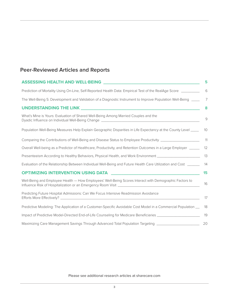### **Peer-Reviewed Articles and Reports**

| <b>ASSESSING HEALTH AND WELL-BEING</b>                                                                                 | 5             |
|------------------------------------------------------------------------------------------------------------------------|---------------|
| Prediction of Mortality Using On-Line, Self-Reported Health Data: Empirical Test of the RealAge Score ________         | 6             |
| The Well-Being 5: Development and Validation of a Diagnostic Instrument to Improve Population Well-Being ____          | 7             |
|                                                                                                                        | 8             |
| What's Mine is Yours: Evaluation of Shared Well-Being Among Married Couples and the                                    | $\mathcal{G}$ |
| Population Well-Being Measures Help Explain Geographic Disparities in Life Expectancy at the County Level _____ 10     |               |
| Comparing the Contributions of Well-Being and Disease Status to Employee Productivity ______________________________11 |               |
| Overall Well-being as a Predictor of Healthcare, Productivity, and Retention Outcomes in a Large Employer _____        | - 12          |
| Presenteeism According to Healthy Behaviors, Physical Health, and Work Environment _______________________             | 13            |
| Evaluation of the Relationship Between Individual Well-Being and Future Health Care Utilization and Cost ______        | - 14          |
| OPTIMIZING INTERVENTION USING DATA AND ARREST MANAGEMENT AND THE RESERVENTION USING DATA                               | 15            |
| Well-Being and Employee Health - How Employees' Well-Being Scores Interact with Demographic Factors to                 | 16            |
| Predicting Future Hospital Admissions: Can We Focus Intensive Readmission Avoidance                                    | 17            |
| Predictive Modeling: The Application of a Customer-Specific Avoidable Cost Model in a Commercial Population __         | - 18          |
| Impact of Predictive Model-Directed End-of-Life Counseling for Medicare Beneficiaries _______________________          | 19            |
| Maximizing Care Management Savings Through Advanced Total Population Targeting ____________________                    | 20            |

Please see additional research articles at sharecare.com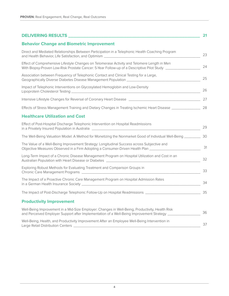| DELIVERING RESULTS NEWSFILM AND THE RESULTS                                                                                                                                                                       | 21 |
|-------------------------------------------------------------------------------------------------------------------------------------------------------------------------------------------------------------------|----|
| <b>Behavior Change and Biometric Improvement</b>                                                                                                                                                                  |    |
| Direct and Mediated Relationships Between Participation in a Telephonic Health Coaching Program<br>and Health Behavior, Life Satisfaction, and Optimism [1988] [2012] [2013] [2013] [2013] [2013] [2014] [2014] [ | 23 |
| Effect of Comprehensive Lifestyle Changes on Telomerase Activity and Telomere Length in Men<br>With Biopsy-Proven Low-Risk Prostate Cancer: 5-Year Follow-up of a Descriptive Pilot Study ______________          | 24 |
| Association between Frequency of Telephonic Contact and Clinical Testing for a Large,                                                                                                                             | 25 |
| Impact of Telephonic Interventions on Glycosylated Hemoglobin and Low-Density                                                                                                                                     | 26 |
| Intensive Lifestyle Changes for Reversal of Coronary Heart Disease [14] [15] [16] [16] [16] [27] [27                                                                                                              |    |
| Effects of Stress Management Training and Dietary Changes in Treating Ischemic Heart Disease _________________ 28                                                                                                 |    |
| <b>Healthcare Utilization and Cost</b>                                                                                                                                                                            |    |
| Effect of Post-Hospital Discharge Telephonic Intervention on Hospital Readmissions<br>in a Privately Insured Population in Australia [2022] [2022] [2022] [2022] [2022] [2022] [2022] [2022] [2022] [             | 29 |
| The Well-Being Valuation Model: A Method for Monetizing the Nonmarket Good of Individual Well-Being ____________ 30                                                                                               |    |
| The Value of a Well-Being Improvement Strategy: Longitudinal Success across Subjective and<br>Objective Measures Observed in a Firm Adopting a Consumer-Driven Health Plan _________________________________      | 31 |
| Long-Term Impact of a Chronic Disease Management Program on Hospital Utilization and Cost in an                                                                                                                   | 32 |
| Exploring Robust Methods for Evaluating Treatment and Comparison Groups in                                                                                                                                        | 33 |
| The Impact of a Proactive Chronic Care Management Program on Hospital Admission Rates                                                                                                                             | 34 |
|                                                                                                                                                                                                                   |    |
| <b>Productivity Improvement</b>                                                                                                                                                                                   |    |
| Well-Being Improvement in a Mid-Size Employer: Changes in Well-Being, Productivity, Health Risk<br>and Perceived Employer Support after Implementation of a Well-Being Improvement Strategy                       | 36 |
| Well-Being, Health, and Productivity Improvement After an Employee Well-Being Intervention in                                                                                                                     | 37 |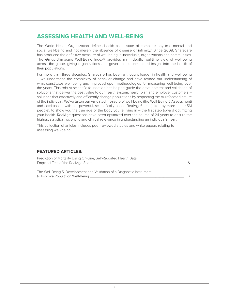### <span id="page-4-0"></span>**ASSESSING HEALTH AND WELL-BEING**

The World Health Organization defines health as "a state of complete physical, mental and social well-being and not merely the absence of disease or infirmity." Since 2008, Sharecare has produced the definitive measure of well-being in individuals, organizations and communities. The Gallup-Sharecare Well-Being Index® provides an in-depth, real-time view of well-being across the globe, giving organizations and governments unmatched insight into the health of their populations.

For more than three decades, Sharecare has been a thought leader in health and well-being – we understand the complexity of behavior change and have refined our understanding of what constitutes well-being and improved upon methodologies for measuring well-being over the years. This robust scientific foundation has helped guide the development and validation of solutions that deliver the best value to our health system, health plan and employer customers – solutions that effectively and efficiently change populations by respecting the multifaceted nature of the individual. We've taken our validated measure of well-being (the Well-Being 5 Assessment) and combined it with our powerful, scientifically-based RealAge® test (taken by more than 45M people), to show you the true age of the body you're living in – the first step toward optimizing your health. RealAge questions have been optimized over the course of 24 years to ensure the highest statistical, scientific and clinical relevance in understanding an individual's health.

This collection of articles includes peer-reviewed studies and white papers relating to assessing well-being.

#### **FEATURED ARTICLES:**

| Prediction of Mortality Using On-Line, Self-Reported Health Data:       |   |
|-------------------------------------------------------------------------|---|
| Empirical Test of the RealAge Score                                     | 6 |
| The Well-Being 5: Development and Validation of a Diagnostic Instrument |   |
|                                                                         |   |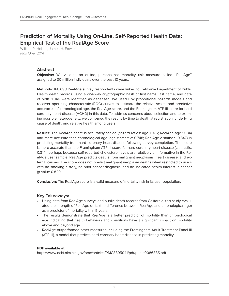### <span id="page-5-0"></span>**Prediction of Mortality Using On-Line, Self-Reported Health Data: Empirical Test of the RealAge Score**

William R. Hobbs, James H. Fowler Plos One, 2014

#### **Abstract**

**Objective:** We validate an online, personalized mortality risk measure called ''RealAge'' assigned to 30 million individuals over the past 10 years.

**Methods:** 188,698 RealAge survey respondents were linked to California Department of Public Health death records using a one-way cryptographic hash of first name, last name, and date of birth. 1,046 were identified as deceased. We used Cox proportional hazards models and receiver operating characteristic (ROC) curves to estimate the relative scales and predictive accuracies of chronological age, the RealAge score, and the Framingham ATP-III score for hard coronary heart disease (HCHD) in this data. To address concerns about selection and to examine possible heterogeneity, we compared the results by time to death at registration, underlying cause of death, and relative health among users.

**Results:** The RealAge score is accurately scaled (hazard ratios: age 1.076; RealAge-age 1.084) and more accurate than chronological age (age c-statistic: 0.748; RealAge c-statistic: 0.847) in predicting mortality from hard coronary heart disease following survey completion. The score is more accurate than the Framingham ATP-III score for hard coronary heart disease (c-statistic: 0.814), perhaps because self-reported cholesterol levels are relatively uninformative in the RealAge user sample. RealAge predicts deaths from malignant neoplasms, heart disease, and external causes. The score does not predict malignant neoplasm deaths when restricted to users with no smoking history, no prior cancer diagnosis, and no indicated health interest in cancer (p-value 0.820).

**Conclusion:** The RealAge score is a valid measure of mortality risk in its user population.

#### **Key Takeaways:**

- Using data from RealAge surveys and public death records from California, this study evaluated the strength of RealAge delta (the difference between RealAge and chronological age) as a predictor of mortality within 5 years.
- The results demonstrate that RealAge is a better predictor of mortality than chronological age indicating that health behaviors and conditions have a significant impact on mortality above and beyond age.
- RealAge outperformed other measured including the Framingham Adult Treatment Panel III (ATP-III), a model that predicts hard coronary heart disease in predicting mortality.

#### **PDF available at:**

<https://www.ncbi.nlm.nih.gov/pmc/articles/PMC3895041/pdf/pone.0086385.pdf>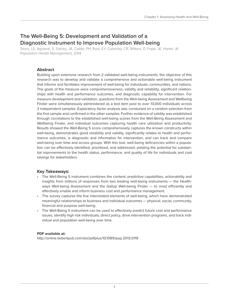### <span id="page-6-0"></span>**The Well-Being 5: Development and Validation of a Diagnostic Instrument to Improve Population Well-being**

Sears, LE, Agrawal, S, Sidney, JA, Castle, PH, Rula, EY, Coberley, CR, Witters, D, Pope, JE, Harter, JK Population Health Management, 2014

#### **Abstract**

Building upon extensive research from 2 validated well-being instruments, the objective of this research was to develop and validate a comprehensive and actionable well-being instrument that informs and facilitates improvement of well-being for individuals, communities, and nations. The goals of the measure were comprehensiveness, validity and reliability, significant relationships with health and performance outcomes, and diagnostic capability for intervention. For measure development and validation, questions from the Well-being Assessment and Wellbeing Finder were simultaneously administered as a test item pool to over 13,000 individuals across 3 independent samples. Exploratory factor analysis was conducted on a random selection from the first sample and confirmed in the other samples. Further evidence of validity was established through correlations to the established well-being scores from the Well-Being Assessment and Wellbeing Finder, and individual outcomes capturing health care utilization and productivity. Results showed the Well-Being 5 score comprehensively captures the known constructs within well-being, demonstrates good reliability and validity, significantly relates to health and performance outcomes, is diagnostic and informative for intervention, and can track and compare well-being over time and across groups. With this tool, well-being deficiencies within a population can be effectively identified, prioritized, and addressed, yielding the potential for substantial improvements to the health status, performance, and quality of life for individuals and cost savings for stakeholders.

#### **Key Takeaways:**

- The Well-Being 5 instrument combines the content, predictive capabilities, actionability and insights from millions of responses from two leading well-being instruments — the Healthways Well-being Assessment and the Gallup Well-being Finder — to most efficiently and effectively enable and inform business cost and performance management.
- The survey captures the five interrelated elements of well-being, which have demonstrated meaningful relationships to business and individual outcomes — physical, social, community, financial and purpose well-being.
- The Well-Being 5 instrument can be used to effectively predict future cost and performance issues, identify high risk individuals, direct policy, drive intervention programs, and track individual and population well-being over time.

#### **PDF available at:**

<http://online.liebertpub.com/doi/pdfplus/10.1089/pop.2013.0119>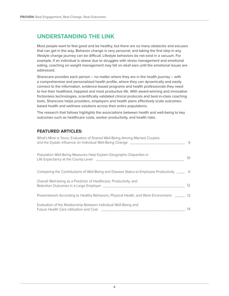### <span id="page-7-0"></span>**UNDERSTANDING THE LINK**

Most people want to feel good and be healthy, but there are so many obstacles and excuses that can get in the way. Behavior change is very personal, and taking the first step in any lifestyle change journey can be difficult. Lifestyle behaviors do not exist in a vacuum. For example, if an individual is obese due to struggles with stress management and emotional eating, coaching on weight management may fall on deaf ears until the emotional issues are addressed.

Sharecare provides each person  $-$  no matter where they are in the health journey  $-$  with a comprehensive and personalized health profile, where they can dynamically and easily connect to the information, evidence-based programs and health professionals they need to live their healthiest, happiest and most productive life. With award-winning and innovative frictionless technologies, scientifically validated clinical protocols and best-in-class coaching tools, Sharecare helps providers, employers and health plans effectively scale outcomesbased health and wellness solutions across their entire populations.

The research that follows highlights the associations between health and well-being to key outcomes such as healthcare costs, worker productivity, and health risks.

#### **FEATURED ARTICLES:**

| What's Mine is Yours: Evaluation of Shared Well-Being Among Married Couples<br>and the Dyadic Influence on Individual Well-Being Change _______________________ | 9  |
|-----------------------------------------------------------------------------------------------------------------------------------------------------------------|----|
| Population Well-Being Measures Help Explain Geographic Disparities in                                                                                           | 10 |
| Comparing the Contributions of Well-Being and Disease Status to Employee Productivity ______ 11                                                                 |    |
| Overall Well-being as a Predictor of Healthcare, Productivity, and                                                                                              | 12 |
| Presenteeism According to Healthy Behaviors, Physical Health, and Work Environment _____                                                                        | 13 |
| Evaluation of the Relationship Between Individual Well-Being and<br>Future Health Care Utilization and Cost                                                     | 14 |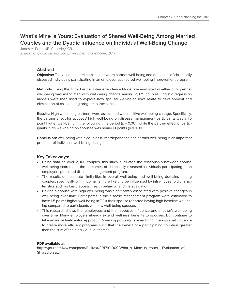### <span id="page-8-0"></span>**What's Mine is Yours: Evaluation of Shared Well-Being Among Married Couples and the Dyadic Influence on Individual Well-Being Change**

Jones A, Pope, JE, Coberley, CR, Journal of Occupational and Environmental Medicine, 2017

#### **Abstract**

**Objective:** To evaluate the relationship between partner well-being and outcomes of chronically diseased individuals participating in an employer sponsored well-being improvement program.

**Methods:** Using the Actor Partner Interdependence Model, we evaluated whether prior partner well-being was associated with well-being change among 2,025 couples. Logistic regression models were then used to explore how spousal well-being risks relate to development and elimination of risks among program participants.

**Results:** High well-being partners were associated with positive well-being change. Specifically, the partner effect for spouses' high well-being on disease management participants was a 1.5 point higher well-being in the following time period ( $p = 0.001$ ) while the partner effect of participants' high well-being on spouses was nearly 1.1 points (p = 0.010).

**Conclusion:** Well-being within couples is interdependent, and partner well-being is an important predictor of individual well-being change.

#### **Key Takeaways:**

- Using data on over 2,000 couples, this study evaluated the relationship between spouse well-being scores and the outcomes of chronically diseased individuals participating in an employer sponsored disease management program.
- The results demonstrate similarities in overall well-being and well-being domains among couples, specifically within domains more likely to be influenced by intra-household characteristics such as basic access, health behavior, and life evaluation.
- Having a spouse with high well-being was significantly associated with positive changes in well-being over time. Participants in the disease management program were estimated to have 1.5 points higher well-being in T2 if their spouse reported having high baseline well-being compared to participants with low well-being spouses.
- This research shows that employees and their spouses influence one another's well-being over time. Many employers already extend wellness benefits to spouses, but continue to take an individual-centric approach. A new opportunity is leveraging inter-spousal influence to create more efficient programs such that the benefit of a participating couple is greater than the sum of their individual outcomes.

#### **PDF available at:**

[https://journals.lww.com/joem/Fulltext/2017/01000/What\\_s\\_Mine\\_is\\_Yours\\_\\_Evaluation\\_of\\_](https://journals.lww.com/joem/Fulltext/2017/01000/What_s_Mine_is_Yours__Evaluation_of_Shared.6.aspx) [Shared.6.aspx](https://journals.lww.com/joem/Fulltext/2017/01000/What_s_Mine_is_Yours__Evaluation_of_Shared.6.aspx)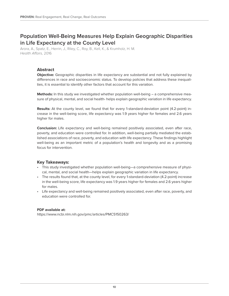### <span id="page-9-0"></span>**Population Well-Being Measures Help Explain Geographic Disparities in Life Expectancy at the County Level**

Arora, A., Spatz, E., Herrin, J., Riley, C., Roy, B., Kell, K., & Krumholz, H. M. Health Affairs, 2016

#### **Abstract**

**Objective:** Geographic disparities in life expectancy are substantial and not fully explained by differences in race and socioeconomic status. To develop policies that address these inequalities, it is essential to identify other factors that account for this variation.

**Methods:** In this study we investigated whether population well-being – a comprehensive measure of physical, mental, and social health- helps explain geographic variation in life expectancy.

**Results:** At the county level, we found that for every 1-standard-deviation point (4.2-point) increase in the well-being score, life expectancy was 1.9 years higher for females and 2.6 years higher for males.

**Conclusion:** Life expectancy and well-being remained positively associated, even after race, poverty, and education were controlled for. In addition, well-being partially mediated the established associations of race, poverty, and education with life expectancy. These findings highlight well-being as an important metric of a population's health and longevity and as a promising focus for intervention.

#### **Key Takeaways:**

- This study investigated whether population well-being—a comprehensive measure of physical, mental, and social health—helps explain geographic variation in life expectancy.
- The results found that, at the county level, for every 1-standard-deviation (4.2-point) increase in the well-being score, life expectancy was 1.9 years higher for females and 2.6 years higher for males.
- Life expectancy and well-being remained positively associated, even after race, poverty, and education were controlled for.

#### **PDF available at:**

<https://www.ncbi.nlm.nih.gov/pmc/articles/PMC5150263/>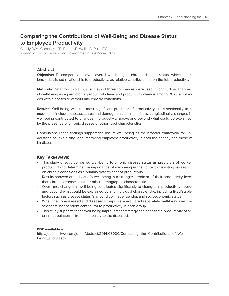### <span id="page-10-0"></span>**Comparing the Contributions of Well-Being and Disease Status to Employee Productivity**

Gandy, WM, Coberley, CR, Pope, JE, Wells, A, Rula, EY Journal of Occupational and Environmental Medicine, 2014

#### **Abstract**

**Objective:** To compare employee overall well-being to chronic disease status, which has a long-established relationship to productivity, as relative contributors to on-the-job productivity.

**Methods:** Data from two annual surveys of three companies were used in longitudinal analyses of well-being as a predictor of productivity level and productivity change among 2629 employees with diabetes or without any chronic conditions.

**Results:** Well-being was the most significant predictor of productivity cross-sectionally in a model that included disease status and demographic characteristics. Longitudinally, changes in well-being contributed to changes in productivity above and beyond what could be explained by the presence of chronic disease or other fixed characteristics.

**Conclusion:** These findings support the use of well-being as the broader framework for understanding, explaining, and improving employee productivity in both the healthy and those w ith disease.

#### **Key Takeaways:**

- This study directly compared well-being to chronic disease status as predictors of worker productivity to determine the importance of well-being in the context of existing re- search on chronic conditions as a primary determinant of productivity.
- Results showed an individual's well-being is a stronger predictor of their productivity level than chronic disease status or other demographic characteristics.
- Over time, changes in well-being contributed significantly to changes in productivity above and beyond what could be explained by any individual characteristic, including fixed/stable factors such as disease status (any condition), age, gender, and socioeconomic status.
- When the non-diseased and diseased groups were evaluated separately, well-being was the strongest independent contributor to productivity in each group.
- This study supports that a well-being improvement strategy can benefit the productivity of an entire population — from the healthy to the diseased.

#### **PDF available at:**

[http://journals.lww.com/joem/Abstract/2014/03000/Comparing\\_the\\_Contributions\\_of\\_Well\\_](http://journals.lww.com/joem/Abstract/2014/03000/Comparing_the_Contributions_of_Well_Being_and.3.aspx) [Being\\_and.3.aspx](http://journals.lww.com/joem/Abstract/2014/03000/Comparing_the_Contributions_of_Well_Being_and.3.aspx)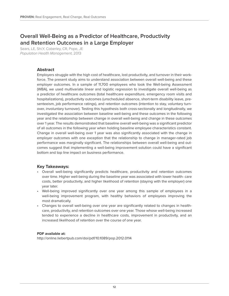### <span id="page-11-0"></span>**Overall Well-Being as a Predictor of Healthcare, Productivity and Retention Outcomes in a Large Employer**

Sears, LE, Shi,Y, Coberley, CR, Pope, JE Population Health Management, 2013

#### **Abstract**

Employers struggle with the high cost of healthcare, lost productivity, and turnover in their workforce. The present study aims to understand association between overall well-being and these employer outcomes. In a sample of 11,700 employees who took the Well-being Assessment (WBA), we used multivariate linear and logistic regression to investigate overall well-being as a predictor of healthcare outcomes (total healthcare expenditure, emergency room visits and hospitalizations), productivity outcomes (unscheduled absence, short-term disability leave, presenteeism, job performance ratings), and retention outcomes (intention to stay, voluntary turnover, involuntary turnover). Testing this hypothesis both cross-sectionally and longitudinally, we investigated the association between baseline well-being and these outcomes in the following year and the relationship between change in overall well-being and change in these outcomes over 1 year. The results demonstrated that baseline overall well-being was a significant predictor of all outcomes in the following year when holding baseline employee characteristics constant. Change in overall well-being over 1 year was also significantly associated with the change in employer outcomes with one exception that the relationship to change in manager-rated job performance was marginally significant. The relationships between overall well-being and outcomes suggest that implementing a well-being improvement solution could have a significant bottom and top line impact on business performance.

#### **Key Takeaways:**

- Overall well-being significantly predicts healthcare, productivity and retention outcomes over time. Higher well-being during the baseline year was associated with lower health- care costs, better productivity, and higher likelihood of retention (staying with the employer) one year later.
- Well-being improved significantly over one year among this sample of employees in a well-being improvement program, with healthy behaviors of employees improving the most dramatically.
- Changes to overall well-being over one year are significantly related to changes in healthcare, productivity, and retention outcomes over one year. Those whose well-being increased tended to experience a decline in healthcare costs, improvement in productivity, and an increased likelihood of retention over the course of one year.

#### **PDF available at:**

<http://online.liebertpub.com/doi/pdf/10.1089/pop.2012.0114>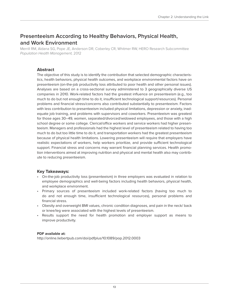### <span id="page-12-0"></span>**Presenteeism According to Healthy Behaviors, Physical Health, and Work Environment**

Merrill RM, Aldana SG, Pope JE, Anderson DR, Coberley CR, Whitmer RW, HERO Research Subcommittee Population Health Management, 2012

#### **Abstract**

The objective of this study is to identify the contribution that selected demographic characteristics, health behaviors, physical health outcomes, and workplace environmental factors have on presenteeism (on-the-job productivity loss attributed to poor health and other personal issues). Analyses are based on a cross-sectional survey administered to 3 geographically diverse US companies in 2010. Work-related factors had the greatest influence on presenteeism (e.g., too much to do but not enough time to do it, insufficient technological support/resources). Personal problems and financial stress/concerns also contributed substantially to presenteeism. Factors with less contribution to presenteeism included physical limitations, depression or anxiety, inadequate job training, and problems with supervisors and coworkers. Presenteeism was greatest for those ages 30–49, women, separated/divorced/widowed employees, and those with a high school degree or some college. Clerical/office workers and service workers had higher presenteeism. Managers and professionals had the highest level of presenteeism related to having too much to do but too little time to do it, and transportation workers had the greatest presenteeism because of physical health limitations. Lowering presenteeism will require that employers have realistic expectations of workers, help workers prioritize, and provide sufficient technological support. Financial stress and concerns may warrant financial planning services. Health promotion interventions aimed at improving nutrition and physical and mental health also may contribute to reducing presenteeism.

#### **Key Takeaways:**

- On-the-job productivity loss (presenteeism) in three employers was evaluated in relation to employee demographics and well-being factors including health behaviors, physical health, and workplace environment.
- Primary sources of presenteeism included work-related factors (having too much to do and not enough time, insufficient technological resources), personal problems and financial stress.
- Obesity and overweight BMI values, chronic condition diagnoses, and pain in the neck/ back or knee/leg were associated with the highest levels of presenteeism.
- Results support the need for health promotion and employer support as means to improve productivity.

#### **PDF available at:**

<http://online.liebertpub.com/doi/pdfplus/10.1089/pop.2012.0003>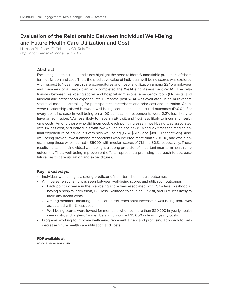### <span id="page-13-0"></span>**Evaluation of the Relationship Between Individual Well-Being and Future Health Care Utilization and Cost**

Harrison PL, Pope JE, Coberley CR, Rula EY Population Health Management, 2012

#### **Abstract**

Escalating health care expenditures highlight the need to identify modifiable predictors of shortterm utilization and cost. Thus, the predictive value of individual well-being scores was explored with respect to 1-year health care expenditures and hospital utilization among 2245 employees and members of a health plan who completed the Well-Being Assessment (WBA). The relationship between well-being scores and hospital admissions, emergency room (ER) visits, and medical and prescription expenditures 12-months post WBA was evaluated using multivariate statistical models controlling for participant characteristics and prior cost and utilization. An inverse relationship existed between well-being scores and all measured outcomes (P≤0.01). For every point increase in well-being on a 100-point scale, respondents were 2.2% less likely to have an admission, 1.7% less likely to have an ER visit, and 1.0% less likely to incur any health care costs. Among those who did incur cost, each point increase in well-being was associated with 1% less cost, and individuals with low well-being scores (≤50) had 2.7 times the median annual expenditure of individuals with high well-being (>75) (\$5172 and \$1885, respectively). Also, well-being proved lowest among respondents who incurred more than \$20,000, and was highest among those who incurred ≤ \$5000, with median scores of 71.1 and 80.3, respectively. These results indicate that individual well-being is a strong predictor of important near-term health care outcomes. Thus, well-being improvement efforts represent a promising approach to decrease future health care utilization and expenditures.

#### **Key Takeaways:**

- Individual well-being is a strong predictor of near-term health care outcomes.
- An inverse relationship was seen between well-being scores and utilization outcomes.
	- Each point increase in the well-being score was associated with 2.2% less likelihood in having a hospital admission, 1.7% less likelihood to have an ER visit, and 1.0% less likely to incur any health costs.
	- Among members incurring health care costs, each point increase in well-being score was associated with 1% less cost.
	- Well-being scores were lowest for members who had more than \$20,000 in yearly health care costs, and highest for members who incurred \$5,000 or less in yearly costs.
- Programs working to improve well-being represent a new and promising approach to help decrease future health care utilization and costs.

#### **PDF available at:**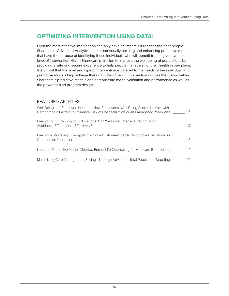### <span id="page-14-0"></span>**OPTIMIZING INTERVENTION USING DATA:**

Even the most effective intervention can only have an impact if it reaches the right people. Sharecare's Advanced Analytics team is continually building and enhancing predictive models that have the purpose of identifying those individuals who will benefit from a given type or level of intervention. Given Sharecare's mission to improve the well-being of populations by providing a safe and secure experience to help people manage all of their health in one place, it is critical that the level and type of intervention is catered to the needs of the individual, and predictive models help achieve that goal. The papers in this section discuss the theory behind Sharecare's predictive models and demonstrate model validation and performance as well as the power behind program design.

#### FEATURED ARTICLES:

| Well-Being and Employee Health - How Employees' Well-Being Scores Interact with<br>Demographic Factors to Influence Risk of Hospitalization or an Emergency Room Visit __                                                                                                                                               | 16           |
|-------------------------------------------------------------------------------------------------------------------------------------------------------------------------------------------------------------------------------------------------------------------------------------------------------------------------|--------------|
| Predicting Future Hospital Admissions: Can We Focus Intensive Readmission<br>Avoidance Efforts More Effectively? __________                                                                                                                                                                                             | 17           |
| Predictive Modeling: The Application of a Customer-Specific Avoidable Cost Model in a<br>Commercial Population and the commercial commercial control of the control of the control of the control of the control of the control of the control of the control of the control of the control of the control of the contr | 18           |
| Impact of Predictive Model-Directed End-of-Life Counseling for Medicare Beneficiaries                                                                                                                                                                                                                                   | 19           |
| Maximizing Care Management Savings Through Advanced Total Population Targeting _______                                                                                                                                                                                                                                  | $20^{\circ}$ |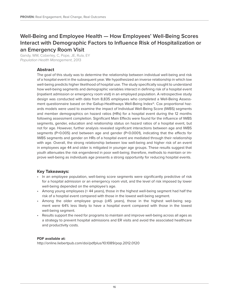### <span id="page-15-0"></span>**Well-Being and Employee Health — How Employees' Well-Being Scores Interact with Demographic Factors to Influence Risk of Hospitalization or an Emergency Room Visit**

Gandy, WM, Coberley, C, Pope, JE, Rula, EY Population Health Management, 2013

#### **Abstract**

The goal of this study was to determine the relationship between individual well-being and risk of a hospital event in the subsequent year. We hypothesized an inverse relationship in which low well-being predicts higher likelihood of hospital use. The study specifically sought to understand how well-being segments and demographic variables interact in defining risk of a hospital event (inpatient admission or emergency room visit) in an employed population. A retrospective study design was conducted with data from 8,835 employees who completed a Well-Being Assessment questionnaire based on the Gallup-Healthways Well-Being Index®. Cox proportional hazards models were used to examine the impact of Individual Well-Being Score (IWBS) segments and member demographics on hazard ratios (HRs) for a hospital event during the 12 months following assessment completion. Significant Main Effects were found for the influence of IWBS segments, gender, education and relationship status on hazard ratios of a hospital event, but not for age. However, further analysis revealed significant interactions between age and IWBS segments (P=0.005) and between age and gender (P<0.0001), indicating that the effects for IWBS segments and gender on HRs of a hospital event are mediated through their relationship with age. Overall, the strong relationship between low well-being and higher risk of an event in employees age 44 and older is mitigated in younger age groups. These results suggest that youth attenuates the risk engendered in poor well-being; therefore, methods to maintain or improve well-being as individuals age presents a strong opportunity for reducing hospital events.

#### **Key Takeaways:**

- In an employee population, well-being score segments were significantly predictive of risk for a hospital admission or an emergency room visit, and the level of risk imposed by lower well-being depended on the employee's age.
- Among young employees (< 44 years), those in the highest well-being segment had half the risk of a hospital event compared with those in the lowest well-being segment.
- Among the older employee group (≥45 years), those in the highest well-being segment were 64% less likely to have a hospital event compared with those in the lowest well-being segment.
- Results support the need for programs to maintain and improve well-being across all ages as a strategy to prevent hospital admissions and ER visits and avoid the associated healthcare and productivity costs.

#### **PDF available at:**

<http://online.liebertpub.com/doi/pdfplus/10.1089/pop.2012.0120>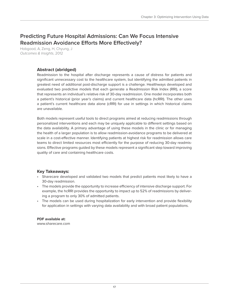### <span id="page-16-0"></span>**Predicting Future Hospital Admissions: Can We Focus Intensive Readmission Avoidance Efforts More Effectively?**

Hobgood, A, Zeng, H, Chyung, J Outcomes & Insights, 2012

#### **Abstract (abridged)**

Readmission to the hospital after discharge represents a cause of distress for patients and significant unnecessary cost to the healthcare system, but identifying the admitted patients in greatest need of additional post-discharge support is a challenge. Healthways developed and evaluated two predictive models that each generate a Readmission Risk Index (RRI), a score that represents an individual's relative risk of 30-day readmission. One model incorporates both a patient's historical (prior year's claims) and current healthcare data (hcRRI). The other uses a patient's current healthcare data alone (cRRI) for use in settings in which historical claims are unavailable.

Both models represent useful tools to direct programs aimed at reducing readmissions through personalized interventions and each may be uniquely applicable to different settings based on the data availability. A primary advantage of using these models in the clinic or for managing the health of a larger population is to allow readmission-avoidance programs to be delivered at scale in a cost-effective manner. Identifying patients at highest risk for readmission allows care teams to direct limited resources most efficiently for the purpose of reducing 30-day readmissions. Effective programs guided by these models represent a significant step toward improving quality of care and containing healthcare costs.

#### **Key Takeaways:**

- Sharecare developed and validated two models that predict patients most likely to have a 30-day readmission.
- The models provide the opportunity to increase efficiency of intensive discharge support. For example, the hcRRI provides the opportunity to impact up to 52% of readmissions by delivering a program to only 30% of admitted patients.
- The models can be used during hospitalization for early intervention and provide flexibility for application in settings with varying data availability and with broad patient populations.

### **PDF available at:**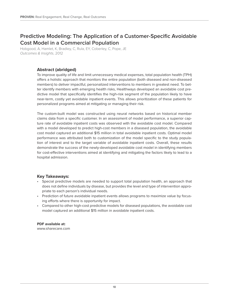### <span id="page-17-0"></span>**Predictive Modeling: The Application of a Customer-Specific Avoidable Cost Model in a Commercial Population**

Hobgood, A, Hamlet, K, Bradley, C, Rula, EY, Coberley, C, Pope, JE Outcomes & Insights, 2012

#### **Abstract (abridged)**

To improve quality of life and limit unnecessary medical expenses, total population health (TPH) offers a holistic approach that monitors the entire population (both diseased and non-diseased members) to deliver impactful, personalized interventions to members in greatest need. To better identify members with emerging health risks, Healthways developed an avoidable cost predictive model that specifically identifies the high-risk segment of the population likely to have near-term, costly yet avoidable inpatient events. This allows prioritization of these patients for personalized programs aimed at mitigating or managing their risk.

The custom-built model was constructed using neural networks based on historical member claims data from a specific customer. In an assessment of model performance, a superior capture rate of avoidable inpatient costs was observed with the avoidable cost model. Compared with a model developed to predict high-cost members in a diseased population, the avoidable cost model captured an additional \$15 million in total avoidable inpatient costs. Optimal model performance was attributed both to customization of the model specific to the study population of interest and to the target variable of avoidable inpatient costs. Overall, these results demonstrate the success of the newly-developed avoidable cost model in identifying members for cost-effective interventions aimed at identifying and mitigating the factors likely to lead to a hospital admission.

#### **Key Takeaways:**

- Special predictive models are needed to support total population health, an approach that does not define individuals by disease, but provides the level and type of intervention appropriate to each person's individual needs.
- Prediction of future avoidable inpatient events allows programs to maximize value by focusing efforts where there is opportunity for impact.
- Compared to other high-cost predictive models for diseased populations, the avoidable cost model captured an additional \$15 million in avoidable inpatient costs.

### **PDF available at:**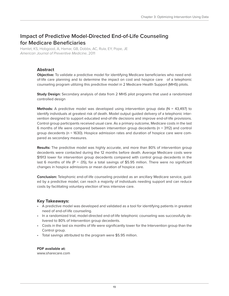### <span id="page-18-0"></span>**Impact of Predictive Model-Directed End-of-Life Counseling for Medicare Beneficiaries**

Hamlet, KS, Hobgood, A, Hamar, GB, Dobbs, AC, Rula, EY, Pope, JE American Journal of Preventive Medicine, 2011

#### **Abstract**

**Objective:** To validate a predictive model for identifying Medicare beneficiaries who need endof-life care planning and to determine the impact on cost and hospice care of a telephonic counseling program utilizing this predictive model in 2 Medicare Health Support (MHS) pilots.

**Study Design:** Secondary analysis of data from 2 MHS pilot programs that used a randomized controlled design

**Methods:** A predictive model was developed using intervention group data (N = 43,497) to identify individuals at greatest risk of death. Model output guided delivery of a telephonic intervention designed to support educated end-of-life decisions and improve end-of-life provisions. Control group participants received usual care. As a primary outcome, Medicare costs in the last 6 months of life were compared between intervention group decedents (n = 3112) and control group decedents (n = 1630). Hospice admission rates and duration of hospice care were compared as secondary measures.

**Results:** The predictive model was highly accurate, and more than 80% of intervention group decedents were contacted during the 12 months before death. Average Medicare costs were \$1913 lower for intervention group decedents compared with control group decedents in the last 6 months of life (P = .05), for a total savings of \$5.95 million. There were no significant changes in hospice admissions or mean duration of hospice care.

**Conclusion:** Telephonic end-of-life counseling provided as an ancillary Medicare service, guided by a predictive model, can reach a majority of individuals needing support and can reduce costs by facilitating voluntary election of less intensive care.

#### **Key Takeaways:**

- A predictive model was developed and validated as a tool for identifying patients in greatest need of end-of-life counseling.
- In a randomized trial, model-directed end-of-life telephonic counseling was successfully delivered to 80% of Intervention group decedents.
- Costs in the last six months of life were significantly lower for the Intervention group than the Control group.
- Total savings attributed to the program were \$5.95 million.

#### **PDF available at:**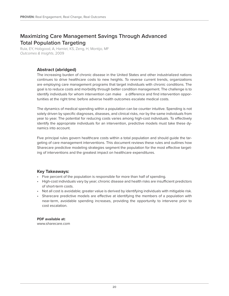### <span id="page-19-0"></span>**Maximizing Care Management Savings Through Advanced Total Population Targeting**

Rula, EY, Hobgood, A, Hamlet, KS, Zeng, H, Montijo, MF Outcomes & Insights, 2009

#### **Abstract (abridged)**

The increasing burden of chronic disease in the United States and other industrialized nations continues to drive healthcare costs to new heights. To reverse current trends, organizations are employing care management programs that target individuals with chronic conditions. The goal is to reduce costs and morbidity through better condition management. The challenge is to identify individuals for whom intervention can make a difference and find intervention opportunities at the right time: before adverse health outcomes escalate medical costs.

The dynamics of medical spending within a population can be counter intuitive. Spending is not solely driven by specific diagnoses, diseases, and clinical risks, nor by the same individuals from year to year. The potential for reducing costs varies among high-cost individuals. To effectively identify the appropriate individuals for an intervention, predictive models must take these dynamics into account.

Five principal rules govern healthcare costs within a total population and should guide the targeting of care management interventions. This document reviews these rules and outlines how Sharecare predictive modeling strategies segment the population for the most effective targeting of interventions and the greatest impact on healthcare expenditures.

#### **Key Takeaways:**

- Five percent of the population is responsible for more than half of spending.
- High-cost individuals vary by year; chronic disease and health risks are insufficient predictors of short-term costs.
- Not all cost is avoidable; greater value is derived by identifying individuals with mitigable risk.
- Sharecare predictive models are effective at identifying the members of a population with near-term, avoidable spending increases, providing the opportunity to intervene prior to cost escalation.

**PDF available at:** <www.sharecare.com>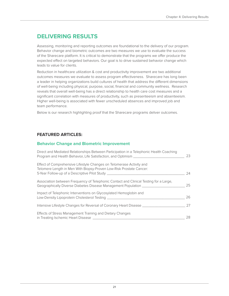### <span id="page-20-0"></span>**DELIVERING RESULTS**

Assessing, monitoring and reporting outcomes are foundational to the delivery of our program. Behavior change and biometric outcomes are two measures we use to evaluate the success of the Sharecare platform. It is critical to demonstrate that the programs we offer produce the expected effect on targeted behaviors. Our goal is to drive sustained behavior change which leads to value for clients.

Reduction in healthcare utilization & cost and productivity improvement are two additional outcomes measures we evaluate to assess program effectiveness. Sharecare has long been a leader in helping organizations build cultures of health that address the different dimensions of well-being including physical, purpose, social, financial and community wellness. Research reveals that overall well-being has a direct relationship to health care cost measures and a significant correlation with measures of productivity, such as presenteeism and absenteeism. Higher well-being is associated with fewer unscheduled absences and improved job and team performance.

Below is our research highlighting proof that the Sharecare programs deliver outcomes.

#### **FEATURED ARTICLES:**

#### **Behavior Change and Biometric Improvement**

| Direct and Mediated Relationships Between Participation in a Telephonic Health Coaching<br>Program and Health Behavior, Life Satisfaction, and Optimism _________                                                               | 23 |
|---------------------------------------------------------------------------------------------------------------------------------------------------------------------------------------------------------------------------------|----|
| Effect of Comprehensive Lifestyle Changes on Telomerase Activity and<br>Telomere Length in Men With Biopsy-Proven Low-Risk Prostate Cancer:<br>5-Year Follow-up of a Descriptive Pilot Study __________________________________ | 24 |
| Association between Frequency of Telephonic Contact and Clinical Testing for a Large,<br>Geographically Diverse Diabetes Disease Management Population ________                                                                 | 25 |
| Impact of Telephonic Interventions on Glycosylated Hemoglobin and                                                                                                                                                               | 26 |
| Intensive Lifestyle Changes for Reversal of Coronary Heart Disease _____________                                                                                                                                                | 27 |
| Effects of Stress Management Training and Dietary Changes<br>in Treating Ischemic Heart Disease _______                                                                                                                         | 28 |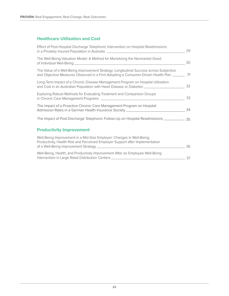#### **Healthcare Utilization and Cost**

| Effect of Post-Hospital Discharge Telephonic Intervention on Hospital Readmissions<br>in a Privately Insured Population in Australia [1988] [1988] [1988] [1988] [1988] [1989] [1989] [1989] [1989] | 29 |
|-----------------------------------------------------------------------------------------------------------------------------------------------------------------------------------------------------|----|
| The Well-Being Valuation Model: A Method for Monetizing the Nonmarket Good                                                                                                                          | 30 |
| The Value of a Well-Being Improvement Strategy: Longitudinal Success across Subjective<br>and Objective Measures Observed in a Firm Adopting a Consumer-Driven Health Plan ______                   | 31 |
| Long-Term Impact of a Chronic Disease Management Program on Hospital Utilization<br>and Cost in an Australian Population with Heart Disease or Diabetes ___________________                         | 32 |
| Exploring Robust Methods for Evaluating Treatment and Comparison Groups                                                                                                                             | 33 |
| The Impact of a Proactive Chronic Care Management Program on Hospital<br>Admission Rates in a German Health Insurance Society ___________________________                                           | 34 |
| The Impact of Post-Discharge Telephonic Follow-Up on Hospital Readmissions ___________________________________                                                                                      |    |
| <b>Productivity Improvement</b>                                                                                                                                                                     |    |
| Well-Being Improvement in a Mid-Size Employer: Changes in Well-Being,<br>Productivity, Health Risk and Perceived Employer Support after Implementation                                              | 36 |
| Well-Being, Health, and Productivity Improvement After an Employee Well-Being<br>Intervention in Large Retail Distribution Centers [1984] [1984] [1984] [1984] [1984] [1984] [1984] [1984] [198     | 37 |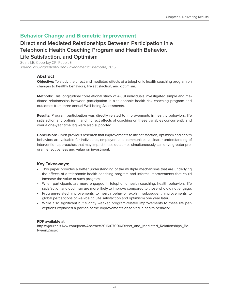### <span id="page-22-0"></span>**Behavior Change and Biometric Improvement**

### **Direct and Mediated Relationships Between Participation in a Telephonic Health Coaching Program and Health Behavior, Life Satisfaction, and Optimism**

Sears LE, Coberley CR, Pope JE Journal of Occupational and Environmental Medicine, 2016

#### **Abstract**

**Objective:** To study the direct and mediated effects of a telephonic health coaching program on changes to healthy behaviors, life satisfaction, and optimism.

**Methods:** This longitudinal correlational study of 4,881 individuals investigated simple and mediated relationships between participation in a telephonic health risk coaching program and outcomes from three annual Well-being Assessments.

**Results:** Program participation was directly related to improvements in healthy behaviors, life satisfaction and optimism, and indirect effects of coaching on these variables concurrently and over a one-year time lag were also supported.

**Conclusion:** Given previous research that improvements to life satisfaction, optimism and health behaviors are valuable for individuals, employers and communities, a clearer understanding of intervention approaches that may impact these outcomes simultaneously can drive greater program effectiveness and value on investment.

#### **Key Takeaways:**

- This paper provides a better understanding of the multiple mechanisms that are underlying the effects of a telephonic health coaching program and informs improvements that could increase the value of such programs.
- When participants are more engaged in telephonic health coaching, health behaviors, life satisfaction and optimism are more likely to improve compared to those who did not engage.
- Program-related improvements to health behavior explain subsequent improvements to global perceptions of well-being (life satisfaction and optimism) one year later.
- While also significant but slightly weaker, program-related improvements to these life perceptions explained a portion of the improvements observed in health behavior.

#### **PDF available at:**

[https://journals.lww.com/joem/Abstract/2016/07000/Direct\\_and\\_Mediated\\_Relationships\\_Be](https://journals.lww.com/joem/Abstract/2016/07000/Direct_and_Mediated_Relationships_Between.7.aspx)[tween.7.aspx](https://journals.lww.com/joem/Abstract/2016/07000/Direct_and_Mediated_Relationships_Between.7.aspx)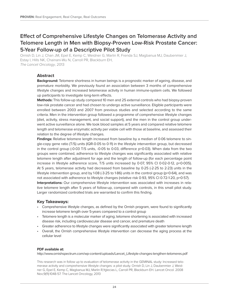### <span id="page-23-0"></span>**Effect of Comprehensive Lifestyle Changes on Telomerase Activity and Telomere Length in Men with Biopsy-Proven Low-Risk Prostate Cancer: 5-Year Follow-up of a Descriptive Pilot Study**

Ornish D, Lin J, Chan JM, Epel E, Kemp C, Weidner G, Marlin R, Frenda SJ, Magbanua MJ, Daubenmier J, Estay I, Hills NK, Chainani-Wu N, Carroll PR, Blackburn EH, The Lancet Oncology, 2013

#### **Abstract**

**Background:** Telomere shortness in human beings is a prognostic marker of ageing, disease, and premature morbidity. We previously found an association between 3 months of comprehensive lifestyle changes and increased telomerase activity in human immune-system cells. We followed up participants to investigate long-term effects.

**Methods:** This follow-up study compared 10 men and 25 external controls who had biopsy-proven low-risk prostate cancer and had chosen to undergo active surveillance. Eligible participants were enrolled between 2003 and 2007 from previous studies and selected according to the same criteria. Men in the intervention group followed a programme of comprehensive lifestyle changes (diet, activity, stress management, and social support), and the men in the control group underwent active surveillance alone. We took blood samples at 5 years and compared relative telomere length and telomerase enzymatic activity per viable cell with those at baseline, and assessed their relation to the degree of lifestyle changes.

**Findings:** Relative telomere length increased from baseline by a median of 0·06 telomere to single-copy gene ratio (T/S) units (IQR-0·05 to 0·11) in the lifestyle intervention group, but decreased in the control group (-0·03 T/S units, -0·05 to 0·03, difference p=0·03). When data from the two groups were combined, adherence to lifestyle changes was significantly associated with relative telomere length after adjustment for age and the length of follow-up (for each percentage point increase in lifestyle adherence score, T/S units increased by 0·07, 95% CI 0·02-0·12, p=0·005). At 5 years, telomerase activity had decreased from baseline by 0·25 (-2·25 to 2·23) units in the lifestyle intervention group, and by 1·08 (-3·25 to 1·86) units in the control group (p=0·64), and was not associated with adherence to lifestyle changes (relative risk 0.93, 95% CI 0.72-1.20, p=0.57). **Interpretations:** Our comprehensive lifestyle intervention was associated with increases in relative telomere length after 5 years of follow-up, compared with controls, in this small pilot study. Larger randomized controlled trials are warranted to confirm this finding.

#### **Key Takeaways:**

- Comprehensive lifestyle changes, as defined by the Ornish program, were found to significantly increase telomere length over 5-years compared to a control group
- Telomere length is a molecular marker of aging; telomere shortening is associated with increased disease risk, including cardiovascular disease and cancer, and premature death
- Greater adherence to lifestyle changes were significantly associated with greater telomere length
- Overall, the Ornish comprehensive lifestyle intervention can decrease the aging process at the cellular level

#### **PDF available at:**

[http://www.ornishspectrum.com/wp-content/uploads/Lancet\\_Lifestyle-changes-lengthen-telomeres.pdf](http://www.ornishspectrum.com/wp-content/uploads/Lancet_Lifestyle-changes-lengthen-telomeres.pdf)

This research was in follow up to evaluation of telomerase activity in the GEMINAL study: Increased telomerase activity and comprehensive lifestyle changes: a pilot study. Ornish D, Lin J, Daubenmier J, Weidner G, Epel E, Kemp C, Magbanua MJ, Marlin R,Yglecias L, Carroll PR, Blackburn EH. Lancet Oncol. 2008 Nov;9(11):1048-57. The Lancet Oncology, 2013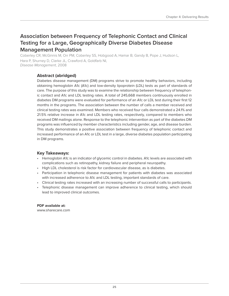### <span id="page-24-0"></span>**Association between Frequency of Telephonic Contact and Clinical Testing for a Large, Geographically Diverse Diabetes Disease Management Population**

Coberley CR, McGinnis M, Orr PM, Coberley SS, Hobgood A, Hamar B, Gandy B, Pope J, Hudson L, Hara P, Shurney D, Clarke JL, Crawford A, Goldfarb NI, Disease Management, 2008

#### **Abstract (abridged)**

Diabetes disease management (DM) programs strive to promote healthy behaviors, including obtaining hemoglobin A1c (A1c) and low-density lipoprotein (LDL) tests as part of standards of care. The purpose of this study was to examine the relationship between frequency of telephonic contact and A1c and LDL testing rates. A total of 245,668 members continuously enrolled in diabetes DM programs were evaluated for performance of an A1c or LDL test during their first 12 months in the programs. The association between the number of calls a member received and clinical testing rates was examined. Members who received four calls demonstrated a 24.1% and 21.5% relative increase in A1c and LDL testing rates, respectively, compared to members who received DM mailings alone. Response to the telephonic intervention as part of the diabetes DM programs was influenced by member characteristics including gender, age, and disease burden. This study demonstrates a positive association between frequency of telephonic contact and increased performance of an A1c or LDL test in a large, diverse diabetes population participating in DM programs.

#### **Key Takeaways:**

- Hemoglobin A1c is an indicator of glycemic control in diabetes. A1c levels are associated with complications such as retinopathy, kidney failure and peripheral neuropathy.
- High LDL cholesterol is risk factor for cardiovascular disease, as is diabetes.
- Participation in telephonic disease management for patients with diabetes was associated with increased adherence to A1c and LDL testing, important standards of care.
- Clinical testing rates increased with an increasing number of successful calls to participants.
- Telephonic disease management can improve adherence to clinical testing, which should lead to improved clinical outcomes.

**PDF available at:** <www.sharecare.com>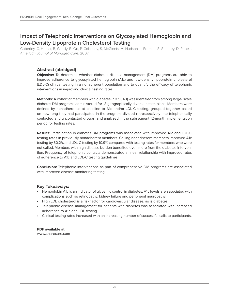### <span id="page-25-0"></span>**Impact of Telephonic Interventions on Glycosylated Hemoglobin and Low-Density Lipoprotein Cholesterol Testing**

Coberley, C, Hamar, B, Gandy, B, Orr, P, Coberley, S, McGinnis, M, Hudson, L, Forman, S, Shurney, D, Pope, J American Journal of Managed Care, 2007

#### **Abstract (abridged)**

**Objective:** To determine whether diabetes disease management (DM) programs are able to improve adherence to glycosylated hemoglobin (A1c) and low-density lipoprotein cholesterol (LDL-C) clinical testing in a nonadherent population and to quantify the efficacy of telephonic interventions in improving clinical testing rates.

**Methods:** A cohort of members with diabetes (n = 5640) was identified from among large- scale diabetes DM programs administered for 13 geographically diverse health plans. Members were defined by nonadherence at baseline to A1c and/or LDL-C testing, grouped together based on how long they had participated in the program, divided retrospectively into telephonically contacted and uncontacted groups, and analyzed in the subsequent 12-month implementation period for testing rates.

**Results:** Participation in diabetes DM programs was associated with improved A1c and LDL-C testing rates in previously nonadherent members. Calling nonadherent members improved A1c testing by 30.2% and LDL-C testing by 10.9% compared with testing rates for members who were not called. Members with high disease burden benefited even more from the diabetes intervention. Frequency of telephonic contacts demonstrated a linear relationship with improved rates of adherence to A1c and LDL-C testing guidelines.

**Conclusion:** Telephonic interventions as part of comprehensive DM programs are associated with improved disease-monitoring testing.

#### **Key Takeaways:**

- Hemoglobin A1c is an indicator of glycemic control in diabetes. A1c levels are associated with complications such as retinopathy, kidney failure and peripheral neuropathy.
- High LDL cholesterol is a risk factor for cardiovascular disease, as is diabetes.
- Telephonic disease management for patients with diabetes was associated with increased adherence to A1c and LDL testing.
- Clinical testing rates increased with an increasing number of successful calls to participants.

**PDF available at:** <www.sharecare.com>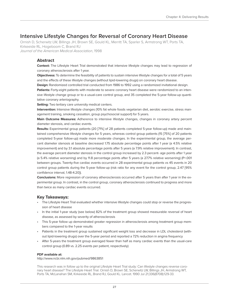### <span id="page-26-0"></span>**Intensive Lifestyle Changes for Reversal of Coronary Heart Disease**

Ornish D, Scherwitz LW, Billings JH, Brown SE, Gould KL, Merritt TA, Sparler S, Armstrong WT, Ports TA, Kirkeeide RL, Hogeboom C, Brand RJ Journal of the American Medical Association, 1998

#### **Abstract**

**Context:** The Lifestyle Heart Trial demonstrated that intensive lifestyle changes may lead to regression of coronary atherosclerosis after 1 year.

**Objectivess:** To determine the feasibility of patients to sustain intensive lifestyle changes for a total of 5 years and the effects of these lifestyle changes (without lipid-lowering drugs) on coronary heart disease.

**Design:** Randomized controlled trial conducted from 1986 to 1992 using a randomized invitational design.

**Patients:** Forty-eight patients with moderate to severe coronary heart disease were randomized to an intensive lifestyle change group or to a usual-care control group, and 35 completed the 5-year follow-up quantitative coronary arteriography.

**Setting:** Two tertiary care university medical centers.

**Intervention:** Intensive lifestyle changes (10% fat whole foods vegetarian diet, aerobic exercise, stress management training, smoking cessation, group psychosocial support) for 5 years.

**Main Outcome Measures:** Adherence to intensive lifestyle changes, changes in coronary artery percent diameter stenosis, and cardiac events.

**Results:** Experimental group patients (20 [71%] of 28 patients completed 5-year follow-up) made and maintained comprehensive lifestyle changes for 5 years, whereas control group patients (15 [75%] of 20 patients completed 5-year follow-up) made more moderate changes. In the experimental group, the average percent diameter stenosis at baseline decreased 1.75 absolute percentage points after 1 year (a 4.5% relative improvement) and by 3.1 absolute percentage points after 5 years (a 7.9% relative improvement). In contrast, the average percent diameter stenosis in the control group increased by 2.3 percent- age points after 1 year (a 5.4% relative worsening) and by 11.8 percentage points after 5 years (a 27.7% relative worsening) (P=.001 between groups. Twenty-five cardiac events occurred in 28 experimental group patients vs 45 events in 20 control group patients during the 5-year follow-up (risk ratio for any event for the control group, 2.47 [95% confidence interval, 1.48-4.20]).

**Conclusions:** More regression of coronary atherosclerosis occurred after 5 years than after 1 year in the experimental group. In contrast, in the control group, coronary atherosclerosis continued to progress and more than twice as many cardiac events occurred.

#### **Key Takeaways:**

- The Lifestyle Heart Trial evaluated whether intensive lifestyle changes could stop or reverse the progression of heart disease
- In the initial 1-year study (see below) 82% of the treatment group showed measurable reversal of heart disease, as assessed by severity of atherosclerosis
- This 5-year follow up demonstrated greater regression in atherosclerosis among treatment group members compared to the 1-year results
- Patients in the treatment group sustained significant weight loss and decrease in LDL cholesterol (without lipid-lowering drugs) over the 5-year period and reported a 72% reduction in angina frequency
- After 5-years the treatment group averaged fewer than half as many cardiac events than the usual-care control group (0.89 vs. 2.25 events per patient, respectively)

#### **PDF available at:**

<http://www.ncbi.nlm.nih.gov/pubmed/9863851>

This research was in follow up to the original Lifestyle Heart Trial study: Can lifestyle changes reverse coronary heart disease? The Lifestyle Heart Trial. Ornish D, Brown SE, Scherwitz LW, Billings JH, Armstrong WT, Ports TA, McLanahan SM, Kirkeeide RL, Brand RJ, Gould KL. Lancet. 1990 Jul 21;336(8708):129-33.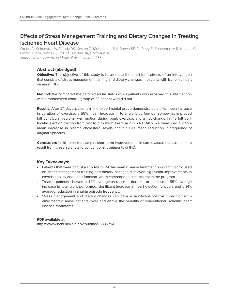### <span id="page-27-0"></span>**Effects of Stress Management Training and Dietary Changes in Treating Ischemic Heart Disease**

Ornish D, Scherwitz LW, Doody RS, Kesten D, McLanahan SM, Brown SE, DePuey E, Sonnemaker R, Haynes C, Lester J, McAllister GK, Hall RJ, Burdine JA, Gotto AM Jr. Journal of the American Medical Association, 1983

#### **Abstract (abridged)**

**Objective:** The objective of this study is to evaluate the short-term effects of an intervention that consists of stress management training and dietary changes in patients with ischemic heart disease (IHD).

**Method:** We compared the cardiovascular status of 23 patients who received this intervention with a randomized control group of 23 patient who did not.

**Results:** After 24 days, patients in the experimental group demonstrated a 44% mean increase in duration of exercise, a 55% mean increase in total work performed, somewhat improved left ventricular regional wall motion during peak exercise, and a net change in the left ventricular ejection fraction from rest to maximum exercise of +6.4%. Also, we measured a 20.5% mean decrease in plasma cholesterol levels and a 91.0% mean reduction in frequency of anginal episodes.

**Conclusion:** In this selected sample, short-term improvements in cardiovascular status seem to result from these adjuncts to conventional treatments of IHD.

#### **Key Takeaways:**

- Patients that were part of a short-term 24 day heart disease treatment program that focused on stress management training and dietary changes displayed significant improvements in exercise ability and heart function, when compared to patients not in the program.
- Treated patients showed a 44% average increase in duration of exercise, a 55% average increase in total work performed, significant increase in heart ejection function, and a 91% average reduction in angina episode frequency.
- Stress management and dietary changes can have a significant positive impact on ischemic heart disease patients, over and above the benefits of conventional ischemic heart disease treatments.

#### **PDF available at:**

<https://www.ncbi.nlm.nih.gov/pubmed/6336794>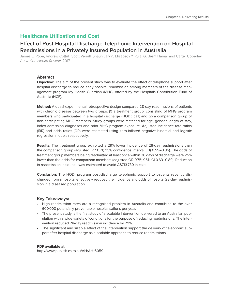### <span id="page-28-0"></span>**Healthcare Utilization and Cost**

### **Effect of Post-Hospital Discharge Telephonic Intervention on Hospital Readmissions in a Privately Insured Population in Australia**

James E. Pope, Andrew Cottrill, Scott Verrall, Shaun Larkin, Elizabeth Y. Rula, G. Brent Hamar and Carter Coberley Australian Health Review, 2017

#### **Abstract**

**Objective:** The aim of the present study was to evaluate the effect of telephone support after hospital discharge to reduce early hospital readmission among members of the disease management program My Health Guardian (MHG) offered by the Hospitals Contribution Fund of Australia (HCF).

**Method:** A quasi-experimental retrospective design compared 28-day readmissions of patients with chronic disease between two groups: (1) a treatment group, consisting of MHG program members who participated in a hospital discharge (HODI) call; and (2) a comparison group of non-participating MHG members. Study groups were matched for age, gender, length of stay, index admission diagnoses and prior MHG program exposure. Adjusted incidence rate ratios (IRR) and odds ratios (OR) were estimated using zero-inflated negative binomial and logistic regression models respectively.

**Results:** The treatment group exhibited a 29% lower incidence of 28-day readmissions than the comparison group (adjusted IRR 0.71; 95% confidence interval (CI) 0.59–0.86). The odds of treatment group members being readmitted at least once within 28 days of discharge were 25% lower than the odds for comparison members (adjusted OR 0.75; 95% CI 0.63–0.89). Reduction in readmission incidence was estimated to avoid A\$713730 in cost.

**Conclusion:** The HODI program post-discharge telephonic support to patients recently discharged from a hospital effectively reduced the incidence and odds of hospital 28-day readmission in a diseased population.

#### **Key Takeaways:**

- High readmission rates are a recognised problem in Australia and contribute to the over 600000 potentially preventable hospitalisations per year.
- The present study is the first study of a scalable intervention delivered to an Australian population with a wide variety of conditions for the purpose of reducing readmissions. The intervention reduced 28-day readmission incidence by 29%.
- The significant and sizable effect of the intervention support the delivery of telephonic support after hospital discharge as a scalable approach to reduce readmissions.

#### **PDF available at:**

<http://www.publish.csiro.au/AH/AH16059>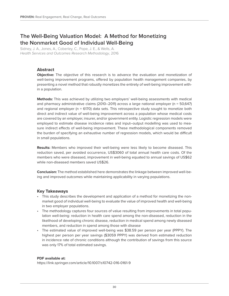### <span id="page-29-0"></span>**The Well-Being Valuation Model: A Method for Monetizing the Nonmarket Good of Individual Well-Being**

Sidney, J. A., Jones, A., Coberley, C., Pope, J. E., & Wells, A. Health Services and Outcomes Research Methodology, 2016

#### **Abstract**

**Objective:** The objective of this research is to advance the evaluation and monetization of well-being improvement programs, offered by population health management companies, by presenting a novel method that robustly monetizes the entirety of well-being improvement within a population.

**Methods:** This was achieved by utilizing two employers' well-being assessments with medical and pharmacy administrative claims (2010–2011) across a large national employer (n = 50,647) and regional employer ( $n = 6170$ ) data sets. This retrospective study sought to monetize both direct and indirect value of well-being improvement across a population whose medical costs are covered by an employer, insurer, and/or government entity. Logistic regression models were employed to estimate disease incidence rates and input–output modelling was used to measure indirect effects of well-being improvement. These methodological components removed the burden of specifying an exhaustive number of regression models, which would be difficult in small populations.

**Results:** Members who improved their well-being were less likely to become diseased. This reduction saved, per avoided occurrence, US\$3060 of total annual health care costs. Of the members who were diseased, improvement in well-being equated to annual savings of US\$62 while non-diseased members saved US\$26.

**Conclusion:** The method established here demonstrates the linkage between improved well-being and improved outcomes while maintaining applicability in varying populations.

#### **Key Takeaways**

- This study describes the development and application of a method for monetizing the nonmarket good of individual well-being to evaluate the value of improved health and well-being in two employer populations.
- The methodology captures four sources of value resulting from improvements in total population well-being: reduction in health care spend among the non-diseased, reduction in the likelihood of developing chronic disease, reduction in medical spend among newly diseased members, and reduction in spend among those with disease
- The estimated value of improved well-being was \$38.59 per person per year (PPPY). The highest per person per year savings (\$3059 PPPY) was derived from estimated reduction in incidence rate of chronic conditions although the contribution of savings from this source was only 17% of total estimated savings.

#### **PDF available at:**

<https://link.springer.com/article/10.1007/s10742-016-0161-9>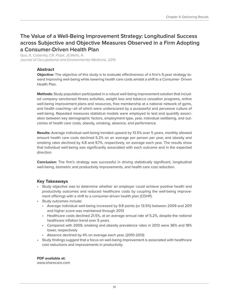### <span id="page-30-0"></span>**The Value of a Well-Being Improvement Strategy: Longitudinal Success across Subjective and Objective Measures Observed in a Firm Adopting a Consumer-Driven Health Plan**

Guo, X, Coberley, CR, Pope, JE,Wells, A Journal of Occupational and Environmental Medicine, 2015

#### **Abstract**

**Objective:** The objective of this study is to evaluate effectiveness of a firm's 5-year strategy toward improving well-being while lowering health care costs amidst a shift to a Consumer- Driven Health Plan.

**Methods:** Study population participated in a robust well-being improvement solution that included company sanctioned fitness activities, weight loss and tobacco cessation programs, online well-being improvement plans and resources, free membership at a national network of gyms, and health coaching—all of which were underscored by a purposeful and pervasive culture of well-being. Repeated measures statistical models were employed to test and quantify association between key demographic factors, employment type, year, individual wellbeing, and outcomes of health care costs, obesity, smoking, absence, and performance.

**Results:** Average individual well-being trended upward by 13.5% over 5 years, monthly allowed amount health care costs declined 5.2% on an average per person per year, and obesity and smoking rates declined by 4.8 and 9.7%, respectively, on average each year. The results show that individual well-being was significantly associated with each outcome and in the expected direction.

**Conclusion:** The firm's strategy was successful in driving statistically significant, longitudinal well-being, biometric and productivity improvements, and health care cost reduction.

#### **Key Takeaways**

- Study objective was to determine whether an employer could achieve positive health and productivity outcomes and reduced healthcare costs by coupling the well-being improvement offerings with a shift to a consumer-driven health plan (CDHP).
- Study outcomes include:
	- Average individual well-being increased by 9.8 points (or 13.5%) between 2009 and 2011 and higher score was maintained through 2013
	- Healthcare costs declined 21.5%, at an average annual rate of 5.2%, despite the national healthcare inflation trend over 5 years
	- Compared with 2009, smoking and obesity prevalence rates in 2013 were 36% and 18% lower, respectively
	- Absence declined by 4% on average each year, (2010-2013)
- Study findings suggest that a focus on well-being improvement is associated with healthcare cost reductions and improvements in productivity.

#### **PDF available at:**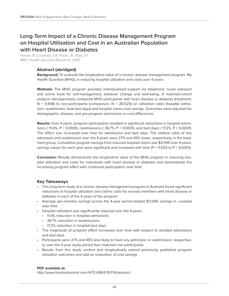### <span id="page-31-0"></span>**Long-Term Impact of a Chronic Disease Management Program on Hospital Utilization and Cost in an Australian Population with Heart Disease or Diabetes**

Hamar, B, Coberley, CR, Pope, JE, Rula, EY BMC Health Services Research, 2015

#### **Abstract (abridged)**

**Background:** To evaluate the longitudinal value of a chronic disease management program, My Health Guardian (MHG), in reducing hospital utilization and costs over 4 years.

**Methods:** The MHG program provides individualized support via telephonic nurse outreach and online tools for self-management, behavior change and well-being. A matched-cohort analysis retrospectively compared MHG participants with heart disease or diabetes (treatment,  $N = 4,948$ ) to non-participants (comparison,  $N = 28,520$ ) on utilization rates (hospital admission, readmission, total bed days) and hospital claims cost savings. Outcomes were adjusted for demographic, disease, and pre-program admissions or cost differences.

**Results:** Over 4 years, program participation resulted in significant reductions in hospital admissions (−11.4%, P < 0.0001), readmissions (−36.7%, P < 0.0001), and bed days (−17.2%, P < 0.0001). The effect size increased over time for admissions and bed days. The relative odds of any admission and readmission over the 4 years were 27% and 45% lower, respectively, in the treatment group. Cumulative program savings from reduced hospital claims was \$3,549 over 4-years; savings values for each year were significant and increased with time (P = 0.003 to P < 0.0001).

**Conclusion:** Results demonstrate the longitudinal value of the MHG program in reducing hospital utilization and costs for individuals with heart disease or diabetes and demonstrate the increasing program effect with continued participation over time.

#### **Key Takeaways**

- This long-term study of a chronic disease management program in Australia found significant reductions in hospital utilization and claims costs for insured members with heart disease or diabetes in each of the 4 years of the program.
- Average per-member savings across the 4-year period totaled \$3,549; savings in- creased over time.
- Hospital utilization was significantly reduced over the 4 years:
	- 11.4% reduction in hospital admissions
	- 36.7% reduction in readmissions
	- 17.2% reduction in hospital bed days
- The magnitude of program effect increased over time with respect to avoided admissions and bed days.
- Participants were 27% and 45% less likely to have any admission or readmission, respectively, over the 4-year study period than matched non-participants.
- Results from this study confirm and longitudinally extend previously published program utilization outcomes and add an evaluation of cost savings

#### **PDF available at:**

<http://www.biomedcentral.com/1472-6963/15/174/abstract>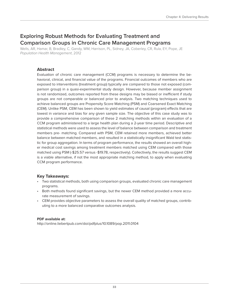### <span id="page-32-0"></span>**Exploring Robust Methods for Evaluating Treatment and Comparison Groups in Chronic Care Management Programs**

Wells, AR, Hamar, B, Bradley, C, Gandy, WM, Harrison, PL, Sidney, JA, Coberley, CR, Rula, EY, Pope, JE Population Health Management, 2012

#### **Abstract**

Evaluation of chronic care management (CCM) programs is necessary to determine the behavioral, clinical, and financial value of the programs. Financial outcomes of members who are exposed to interventions (treatment group) typically are compared to those not exposed (comparison group) in a quasi-experimental study design. However, because member assignment is not randomized, outcomes reported from these designs may be biased or inefficient if study groups are not comparable or balanced prior to analysis. Two matching techniques used to achieve balanced groups are Propensity Score Matching (PSM) and Coarsened Exact Matching (CEM). Unlike PSM, CEM has been shown to yield estimates of causal (program) effects that are lowest in variance and bias for any given sample size. The objective of this case study was to provide a comprehensive comparison of these 2 matching methods within an evaluation of a CCM program administered to a large health plan during a 2-year time period. Descriptive and statistical methods were used to assess the level of balance between comparison and treatment members pre- matching. Compared with PSM, CEM retained more members, achieved better balance between matched members, and resulted in a statistically insignificant Wald test statistic for group aggregation. In terms of program performance, the results showed an overall higher medical cost savings among treatment members matched using CEM compared with those matched using PSM (-\$25.57 versus -\$19.78, respectively). Collectively, the results suggest CEM is a viable alternative, if not the most appropriate matching method, to apply when evaluating CCM program performance.

#### **Key Takeaways:**

- Two statistical methods, both using comparison groups, evaluated chronic care management programs.
- Both methods found significant savings, but the newer CEM method provided a more accurate measurement of savings.
- CEM provides objective parameters to assess the overall quality of matched groups, contributing to a more balanced comparative outcomes analysis.

#### **PDF available at:**

<http://online.liebertpub.com/doi/pdfplus/10.1089/pop.2011.0104>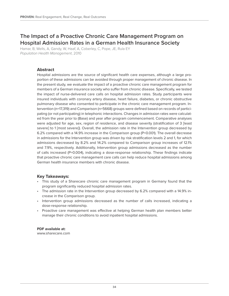### <span id="page-33-0"></span>**The Impact of a Proactive Chronic Care Management Program on Hospital Admission Rates in a German Health Insurance Society**

Hamar, B, Wells, A, Gandy, W, Haaf, A, Coberley, C, Pope, JE, Rula EY Population Health Management, 2010

#### **Abstract**

Hospital admissions are the source of significant health care expenses, although a large proportion of these admissions can be avoided through proper management of chronic disease. In the present study, we evaluate the impact of a proactive chronic care management program for members of a German insurance society who suffer from chronic disease. Specifically, we tested the impact of nurse-delivered care calls on hospital admission rates. Study participants were insured individuals with coronary artery disease, heart failure, diabetes, or chronic obstructive pulmonary disease who consented to participate in the chronic care management program. Intervention (n=17,319) and Comparison (n=5668) groups were defined based on records of participating (or not participating) in telephonic interactions. Changes in admission rates were calculated from the year prior to (Base) and year after program commencement. Comparative analyses were adjusted for age, sex, region of residence, and disease severity (stratification of 3 [least severe] to 1 [most severe]). Overall, the admission rate in the Intervention group decreased by 6.2% compared with a 14.9% increase in the Comparison group (P<0.001). The overall decrease in admissions for the Intervention group was driven by risk stratification levels 2 and 1, for which admissions decreased by 8.2% and 14.2% compared to Comparison group increases of 12.1% and 7.9%, respectively. Additionally, Intervention group admissions decreased as the number of calls increased (P=0.004), indicating a dose-response relationship. These findings indicate that proactive chronic care management care calls can help reduce hospital admissions among German health insurance members with chronic disease.

#### **Key Takeaways:**

- This study of a Sharecare chronic care management program in Germany found that the program significantly reduced hospital admission rates.
- The admission rate in the Intervention group decreased by 6.2% compared with a 14.9% increase in the Comparison group.
- Intervention group admissions decreased as the number of calls increased, indicating a dose-response relationship.
- Proactive care management was effective at helping German health plan members better manage their chronic conditions to avoid inpatient hospital admissions.

#### **PDF available at:**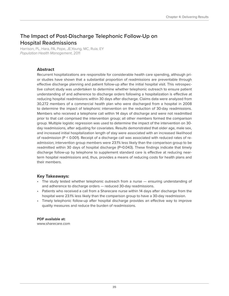### <span id="page-34-0"></span>**The Impact of Post-Discharge Telephonic Follow-Up on Hospital Readmissions**

Harrison, PL, Hara, PA, Pope, JE,Young, MC, Rula, EY Population Health Management, 2011

#### **Abstract**

Recurrent hospitalizations are responsible for considerable health care spending, although prior studies have shown that a substantial proportion of readmissions are preventable through effective discharge planning and patient follow-up after the initial hospital visit. This retrospective cohort study was undertaken to determine whether telephonic outreach to ensure patient understanding of and adherence to discharge orders following a hospitalization is effective at reducing hospital readmissions within 30 days after discharge. Claims data were analyzed from 30,272 members of a commercial health plan who were discharged from a hospital in 2008 to determine the impact of telephonic intervention on the reduction of 30-day readmissions. Members who received a telephone call within 14 days of discharge and were not readmitted prior to that call comprised the intervention group; all other members formed the comparison group. Multiple logistic regression was used to determine the impact of the intervention on 30 day readmissions, after adjusting for covariates. Results demonstrated that older age, male sex, and increased initial hospitalization length of stay were associated with an increased likelihood of readmission (P < 0.001). Receipt of a discharge call was associated with reduced rates of readmission; intervention group members were 23.1% less likely than the comparison group to be readmitted within 30 days of hospital discharge (P=0.043). These findings indicate that timely discharge follow-up by telephone to supplement standard care is effective at reducing nearterm hospital readmissions and, thus, provides a means of reducing costs for health plans and their members.

#### **Key Takeaways:**

- The study tested whether telephonic outreach from a nurse ensuring understanding of and adherence to discharge orders — reduced 30-day readmissions.
- Patients who received a call from a Sharecare nurse within 14 days after discharge from the hospital were 23.1% less likely than the comparison group to have a 30-day readmission.
- Timely telephonic follow-up after hospital discharge provides an effective way to improve quality measures and reduce the burden of readmissions.

**PDF available at:** <www.sharecare.com>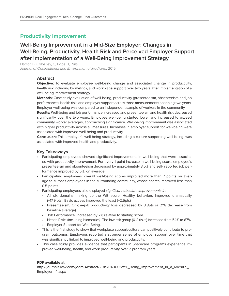### <span id="page-35-0"></span>**Productivity Improvement**

### **Well-Being Improvement in a Mid-Size Employer: Changes in Well-Being, Productivity, Health Risk and Perceived Employer Support after Implementation of a Well-Being Improvement Strategy**

Hamar, B, Coberley, C, Pope, J, Rula, E Journal of Occupational and Environmental Medicine, 2015

#### **Abstract**

**Objective:** To evaluate employee well-being change and associated change in productivity, health risk including biometrics, and workplace support over two years after implementation of a well-being improvement strategy.

**Methods:** Case study evaluation of well-being, productivity (presenteeism, absenteeism and job performance), health risk, and employer support across three measurements spanning two years. Employer well-being was compared to an independent sample of workers in the community.

**Results:** Well-being and job performance increased and presenteeism and health risk decreased significantly over the two years. Employee well-being started lower and increased to exceed community worker averages, approaching significance. Well-being improvement was associated with higher productivity across all measures. Increases in employer support for well-being were associated with improved well-being and productivity.

**Conclusion:** This employer's well-being strategy, including a culture supporting well-being, was associated with improved health and productivity.

#### **Key Takeaways**

- Participating employees showed significant improvements in well-being that were associated with productivity improvement. For every 1-point increase in well-being score, employee's presenteeism and absenteeism decreased by approximately 3.5% and self- reported job performance improved by 5%, on average.
- Participating employees' overall well-being scores improved more than 7 points on average to surpass employees in the surrounding community, whose scores improved less than 0.5 points.
- Participating employees also displayed significant absolute improvements in:
	- All six domains making up the WB score. Healthy behaviors improved dramatically (+17.9 pts). Basic access improved the least (+2.5pts)
	- Presenteeism. On-the-job productivity loss decreased by 3.8pts (a 21% decrease from baseline average)
	- Job Performance. Increased by 2% relative to starting score.
	- Health Risks (including biometrics). The low risk group (0-2 risks) increased from 54% to 67%.
	- Employer Support for Well-Being.
- This is the first study to show that workplace support/culture can positively contribute to program outcomes. Employees reported a stronger sense of employer support over time that was significantly linked to improved well-being and productivity.
- This case study provides evidence that participants in Sharecare programs experience improved well-being, health, and work productivity over 2 program years.

#### **PDF available at:**

[http://journals.lww.com/joem/Abstract/2015/04000/Well\\_Being\\_Improvement\\_in\\_a\\_Midsize\\_](http://journals.lww.com/joem/Abstract/2015/04000/Well_Being_Improvement_in_a_Midsize_Employer_.4.aspx) [Employer\\_.4.aspx](http://journals.lww.com/joem/Abstract/2015/04000/Well_Being_Improvement_in_a_Midsize_Employer_.4.aspx)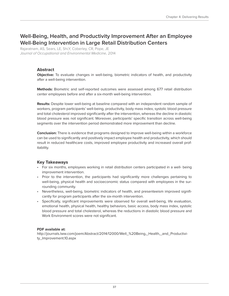### <span id="page-36-0"></span>**Well-Being, Health, and Productivity Improvement After an Employee Well-Being Intervention in Large Retail Distribution Centers**

Rajaratnam, AS, Sears, LE, Shi,Y, Coberley, CR, Pope, JE Journal of Occupational and Environmental Medicine, 2014

#### **Abstract**

**Objective:** To evaluate changes in well-being, biometric indicators of health, and productivity after a well-being intervention.

**Methods:** Biometric and self-reported outcomes were assessed among 677 retail distribution center employees before and after a six-month well-being intervention.

**Results:** Despite lower well-being at baseline compared with an independent random sample of workers, program participants' well-being, productivity, body mass index, systolic blood pressure and total cholesterol improved significantly after the intervention, whereas the decline in diastolic blood pressure was not significant. Moreover, participants' specific transition across well-being segments over the intervention period demonstrated more improvement than decline.

**Conclusion:** There is evidence that programs designed to improve well-being within a workforce can be used to significantly and positively impact employee health and productivity, which should result in reduced healthcare costs, improved employee productivity and increased overall profitability.

#### **Key Takeaways**

- For six months, employees working in retail distribution centers participated in a well- being improvement intervention.
- Prior to the intervention, the participants had significantly more challenges pertaining to well-being, physical health and socioeconomic status compared with employees in the surrounding community.
- Nevertheless, well-being, biometric indicators of health, and presenteeism improved significantly for program participants after the six-month intervention.
- Specifically, significant improvements were observed for overall well-being, life evaluation, emotional health, physical health, healthy behaviors, basic access, body mass index, systolic blood pressure and total cholesterol, whereas the reductions in diastolic blood pressure and Work Environment scores were not significant.

#### **PDF available at:**

http://journals.lww.com/joem/Abstract/2014/12000/Well %20Being, Health, and Productivi[ty\\_Improvement.10.aspx](http://journals.lww.com/joem/Abstract/2014/12000/Well_%20Being,_Health,_and_Productivity_Improvement.10.aspx)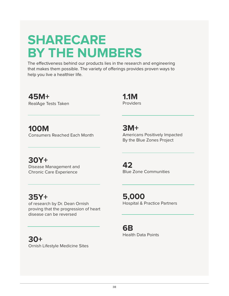## **SHARECARE BY THE NUMBERS**

The effectiveness behind our products lies in the research and engineering that makes them possible. The variety of offerings provides proven ways to help you live a healthier life.

**45M+**  RealAge Tests Taken

**1.1M** Providers

**100M** Consumers Reached Each Month

**30Y+**  Disease Management and Chronic Care Experience

**3M+**  Americans Positively Impacted By the Blue Zones Project

**42**  Blue Zone Communities

**5,000** Hospital & Practice Partners

**6B** Health Data Points

**35Y+** 

of research by Dr. Dean Ornish proving that the progression of heart disease can be reversed

## **30+**

Ornish Lifestyle Medicine Sites